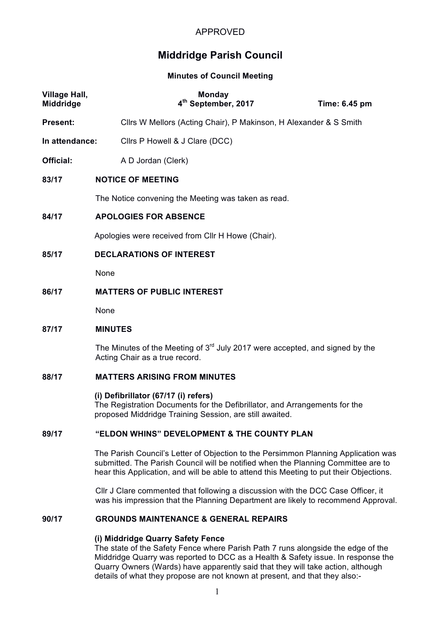# **Middridge Parish Council**

**Minutes of Council Meeting**

| <b>Village Hall,</b><br>Middridge | <b>Monday</b><br>4 <sup>th</sup> September, 2017                                                                 | Time: 6.45 pm |  |
|-----------------------------------|------------------------------------------------------------------------------------------------------------------|---------------|--|
| <b>Present:</b>                   | Cllrs W Mellors (Acting Chair), P Makinson, H Alexander & S Smith                                                |               |  |
| In attendance:                    | Cllrs P Howell & J Clare (DCC)                                                                                   |               |  |
| <b>Official:</b>                  | A D Jordan (Clerk)                                                                                               |               |  |
| 83/17                             | <b>NOTICE OF MEETING</b>                                                                                         |               |  |
|                                   | The Notice convening the Meeting was taken as read.                                                              |               |  |
| 84/17                             | <b>APOLOGIES FOR ABSENCE</b>                                                                                     |               |  |
|                                   | Apologies were received from Cllr H Howe (Chair).                                                                |               |  |
| 85/17                             | <b>DECLARATIONS OF INTEREST</b>                                                                                  |               |  |
|                                   | None                                                                                                             |               |  |
| 86/17                             | <b>MATTERS OF PUBLIC INTEREST</b>                                                                                |               |  |
|                                   | None                                                                                                             |               |  |
| 87/17                             | <b>MINUTES</b>                                                                                                   |               |  |
|                                   | The Minutes of the Meeting of $3rd$ July 2017 were accepted, and signed by the<br>Acting Chair as a true record. |               |  |
| 88/17                             | <b>MATTERS ARISING FROM MINUTES</b>                                                                              |               |  |

**(i) Defibrillator (67/17 (i) refers)** The Registration Documents for the Defibrillator, and Arrangements for the proposed Middridge Training Session, are still awaited.

## **89/17 "ELDON WHINS" DEVELOPMENT & THE COUNTY PLAN**

The Parish Council's Letter of Objection to the Persimmon Planning Application was submitted. The Parish Council will be notified when the Planning Committee are to hear this Application, and will be able to attend this Meeting to put their Objections.

Cllr J Clare commented that following a discussion with the DCC Case Officer, it was his impression that the Planning Department are likely to recommend Approval.

#### **90/17 GROUNDS MAINTENANCE & GENERAL REPAIRS**

## **(i) Middridge Quarry Safety Fence**

The state of the Safety Fence where Parish Path 7 runs alongside the edge of the Middridge Quarry was reported to DCC as a Health & Safety issue. In response the Quarry Owners (Wards) have apparently said that they will take action, although details of what they propose are not known at present, and that they also:-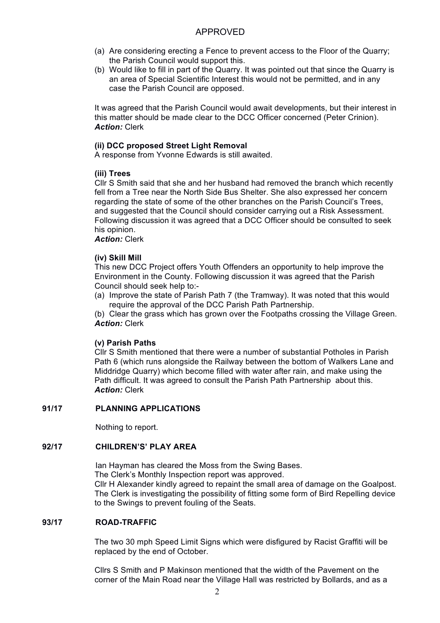- (a) Are considering erecting a Fence to prevent access to the Floor of the Quarry; the Parish Council would support this.
- (b) Would like to fill in part of the Quarry. It was pointed out that since the Quarry is an area of Special Scientific Interest this would not be permitted, and in any case the Parish Council are opposed.

It was agreed that the Parish Council would await developments, but their interest in this matter should be made clear to the DCC Officer concerned (Peter Crinion). *Action:* Clerk

## **(ii) DCC proposed Street Light Removal**

A response from Yvonne Edwards is still awaited.

## **(iii) Trees**

Cllr S Smith said that she and her husband had removed the branch which recently fell from a Tree near the North Side Bus Shelter. She also expressed her concern regarding the state of some of the other branches on the Parish Council's Trees, and suggested that the Council should consider carrying out a Risk Assessment. Following discussion it was agreed that a DCC Officer should be consulted to seek his opinion.

*Action:* Clerk

## **(iv) Skill Mill**

This new DCC Project offers Youth Offenders an opportunity to help improve the Environment in the County. Following discussion it was agreed that the Parish Council should seek help to:-

(a) Improve the state of Parish Path 7 (the Tramway). It was noted that this would require the approval of the DCC Parish Path Partnership.

(b) Clear the grass which has grown over the Footpaths crossing the Village Green. *Action:* Clerk

## **(v) Parish Paths**

Cllr S Smith mentioned that there were a number of substantial Potholes in Parish Path 6 (which runs alongside the Railway between the bottom of Walkers Lane and Middridge Quarry) which become filled with water after rain, and make using the Path difficult. It was agreed to consult the Parish Path Partnership about this. *Action:* Clerk

## **91/17 PLANNING APPLICATIONS**

Nothing to report.

### **92/17 CHILDREN'S' PLAY AREA**

Ian Hayman has cleared the Moss from the Swing Bases.

The Clerk's Monthly Inspection report was approved.

Cllr H Alexander kindly agreed to repaint the small area of damage on the Goalpost. The Clerk is investigating the possibility of fitting some form of Bird Repelling device to the Swings to prevent fouling of the Seats.

## **93/17 ROAD-TRAFFIC**

The two 30 mph Speed Limit Signs which were disfigured by Racist Graffiti will be replaced by the end of October.

Cllrs S Smith and P Makinson mentioned that the width of the Pavement on the corner of the Main Road near the Village Hall was restricted by Bollards, and as a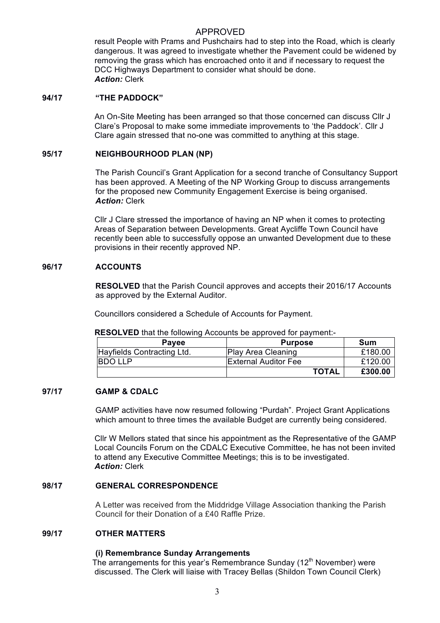result People with Prams and Pushchairs had to step into the Road, which is clearly dangerous. It was agreed to investigate whether the Pavement could be widened by removing the grass which has encroached onto it and if necessary to request the DCC Highways Department to consider what should be done. *Action:* Clerk

#### **94/17 "THE PADDOCK"**

An On-Site Meeting has been arranged so that those concerned can discuss Cllr J Clare's Proposal to make some immediate improvements to 'the Paddock'. Cllr J Clare again stressed that no-one was committed to anything at this stage.

#### **95/17 NEIGHBOURHOOD PLAN (NP)**

The Parish Council's Grant Application for a second tranche of Consultancy Support has been approved. A Meeting of the NP Working Group to discuss arrangements for the proposed new Community Engagement Exercise is being organised. *Action:* Clerk

Cllr J Clare stressed the importance of having an NP when it comes to protecting Areas of Separation between Developments. Great Aycliffe Town Council have recently been able to successfully oppose an unwanted Development due to these provisions in their recently approved NP.

## **96/17 ACCOUNTS**

**RESOLVED** that the Parish Council approves and accepts their 2016/17 Accounts as approved by the External Auditor.

Councillors considered a Schedule of Accounts for Payment.

**RESOLVED** that the following Accounts be approved for payment:-

| <b>Pavee</b>               | <b>Purpose</b>              | Sum     |
|----------------------------|-----------------------------|---------|
| Hayfields Contracting Ltd. | Play Area Cleaning          | £180.00 |
| IBDO LLP                   | <b>External Auditor Fee</b> | £120.00 |
|                            | <b>TOTAL</b>                | £300.00 |

#### **97/17 GAMP & CDALC**

GAMP activities have now resumed following "Purdah". Project Grant Applications which amount to three times the available Budget are currently being considered.

Cllr W Mellors stated that since his appointment as the Representative of the GAMP Local Councils Forum on the CDALC Executive Committee, he has not been invited to attend any Executive Committee Meetings; this is to be investigated. *Action:* Clerk

## **98/17 GENERAL CORRESPONDENCE**

A Letter was received from the Middridge Village Association thanking the Parish Council for their Donation of a £40 Raffle Prize.

#### **99/17 OTHER MATTERS**

#### **(i) Remembrance Sunday Arrangements**

The arrangements for this year's Remembrance Sunday  $(12<sup>th</sup>$  November) were discussed. The Clerk will liaise with Tracey Bellas (Shildon Town Council Clerk)